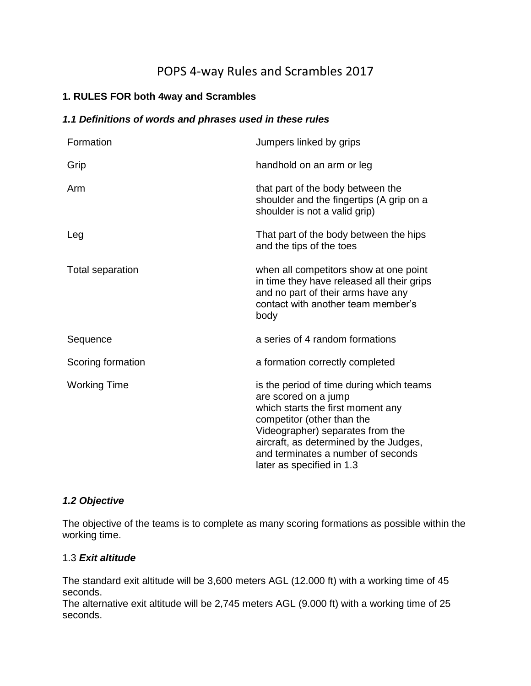# POPS 4-way Rules and Scrambles 2017

# **1. RULES FOR both 4way and Scrambles**

# *1.1 Definitions of words and phrases used in these rules*

| Formation           | Jumpers linked by grips                                                                                                                                                                                                                                                              |
|---------------------|--------------------------------------------------------------------------------------------------------------------------------------------------------------------------------------------------------------------------------------------------------------------------------------|
| Grip                | handhold on an arm or leg                                                                                                                                                                                                                                                            |
| Arm                 | that part of the body between the<br>shoulder and the fingertips (A grip on a<br>shoulder is not a valid grip)                                                                                                                                                                       |
| Leg                 | That part of the body between the hips<br>and the tips of the toes                                                                                                                                                                                                                   |
| Total separation    | when all competitors show at one point<br>in time they have released all their grips<br>and no part of their arms have any<br>contact with another team member's<br>body                                                                                                             |
| Sequence            | a series of 4 random formations                                                                                                                                                                                                                                                      |
| Scoring formation   | a formation correctly completed                                                                                                                                                                                                                                                      |
| <b>Working Time</b> | is the period of time during which teams<br>are scored on a jump<br>which starts the first moment any<br>competitor (other than the<br>Videographer) separates from the<br>aircraft, as determined by the Judges,<br>and terminates a number of seconds<br>later as specified in 1.3 |

# *1.2 Objective*

The objective of the teams is to complete as many scoring formations as possible within the working time.

# 1.3 *Exit altitude*

The standard exit altitude will be 3,600 meters AGL (12.000 ft) with a working time of 45 seconds.

The alternative exit altitude will be 2,745 meters AGL (9.000 ft) with a working time of 25 seconds.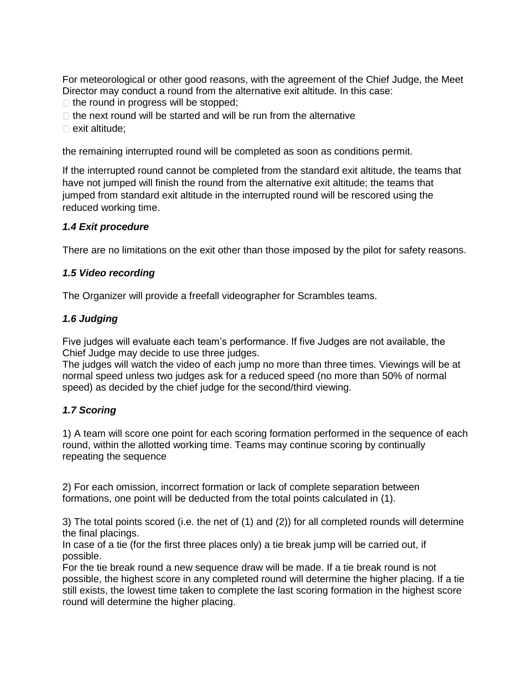For meteorological or other good reasons, with the agreement of the Chief Judge, the Meet Director may conduct a round from the alternative exit altitude. In this case:

- $\Box$  the round in progress will be stopped;
- $\Box$  the next round will be started and will be run from the alternative
- $\square$  exit altitude;

the remaining interrupted round will be completed as soon as conditions permit.

If the interrupted round cannot be completed from the standard exit altitude, the teams that have not jumped will finish the round from the alternative exit altitude; the teams that jumped from standard exit altitude in the interrupted round will be rescored using the reduced working time.

#### *1.4 Exit procedure*

There are no limitations on the exit other than those imposed by the pilot for safety reasons.

#### *1.5 Video recording*

The Organizer will provide a freefall videographer for Scrambles teams.

#### *1.6 Judging*

Five judges will evaluate each team's performance. If five Judges are not available, the Chief Judge may decide to use three judges.

The judges will watch the video of each jump no more than three times. Viewings will be at normal speed unless two judges ask for a reduced speed (no more than 50% of normal speed) as decided by the chief judge for the second/third viewing.

#### *1.7 Scoring*

1) A team will score one point for each scoring formation performed in the sequence of each round, within the allotted working time. Teams may continue scoring by continually repeating the sequence

2) For each omission, incorrect formation or lack of complete separation between formations, one point will be deducted from the total points calculated in (1).

3) The total points scored (i.e. the net of (1) and (2)) for all completed rounds will determine the final placings.

In case of a tie (for the first three places only) a tie break jump will be carried out, if possible.

For the tie break round a new sequence draw will be made. If a tie break round is not possible, the highest score in any completed round will determine the higher placing. If a tie still exists, the lowest time taken to complete the last scoring formation in the highest score round will determine the higher placing.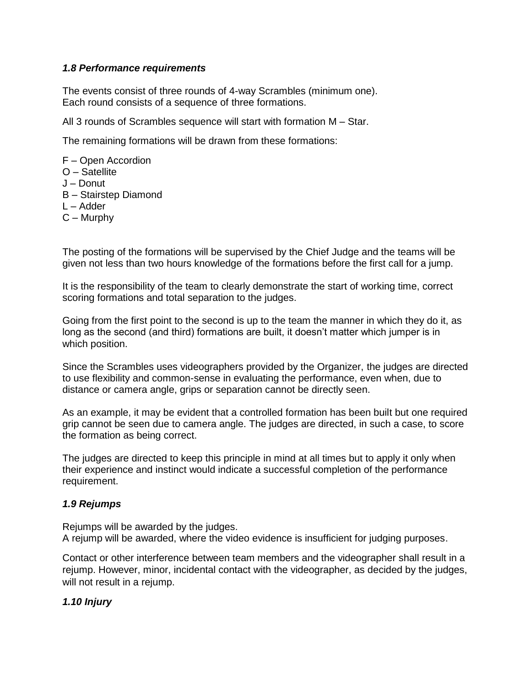### *1.8 Performance requirements*

The events consist of three rounds of 4-way Scrambles (minimum one). Each round consists of a sequence of three formations.

All 3 rounds of Scrambles sequence will start with formation M – Star.

The remaining formations will be drawn from these formations:

F – Open Accordion O – Satellite J – Donut B – Stairstep Diamond L – Adder C – Murphy

The posting of the formations will be supervised by the Chief Judge and the teams will be given not less than two hours knowledge of the formations before the first call for a jump.

It is the responsibility of the team to clearly demonstrate the start of working time, correct scoring formations and total separation to the judges.

Going from the first point to the second is up to the team the manner in which they do it, as long as the second (and third) formations are built, it doesn't matter which jumper is in which position.

Since the Scrambles uses videographers provided by the Organizer, the judges are directed to use flexibility and common-sense in evaluating the performance, even when, due to distance or camera angle, grips or separation cannot be directly seen.

As an example, it may be evident that a controlled formation has been built but one required grip cannot be seen due to camera angle. The judges are directed, in such a case, to score the formation as being correct.

The judges are directed to keep this principle in mind at all times but to apply it only when their experience and instinct would indicate a successful completion of the performance requirement.

# *1.9 Rejumps*

Rejumps will be awarded by the judges. A rejump will be awarded, where the video evidence is insufficient for judging purposes.

Contact or other interference between team members and the videographer shall result in a rejump. However, minor, incidental contact with the videographer, as decided by the judges, will not result in a rejump.

# *1.10 Injury*